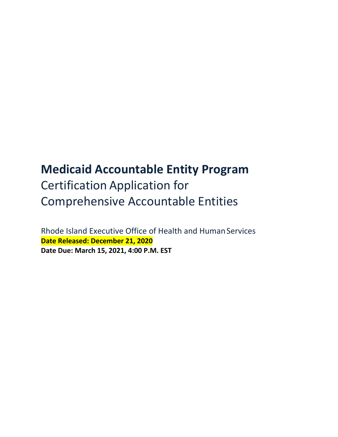# **Medicaid Accountable Entity Program** Certification Application for Comprehensive Accountable Entities

Rhode Island Executive Office of Health and Human Services **Date Released: December 21, 2020 Date Due: March 15, 2021, 4:00 P.M. EST**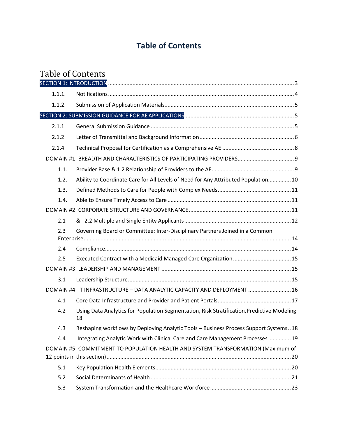# **Table of Contents**

# Table of Contents

| 1.1.1. |                                                                                                  |
|--------|--------------------------------------------------------------------------------------------------|
| 1.1.2. |                                                                                                  |
|        |                                                                                                  |
| 2.1.1  |                                                                                                  |
| 2.1.2  |                                                                                                  |
| 2.1.4  |                                                                                                  |
|        |                                                                                                  |
| 1.1.   |                                                                                                  |
| 1.2.   | Ability to Coordinate Care for All Levels of Need for Any Attributed Population 10               |
| 1.3.   |                                                                                                  |
| 1.4.   |                                                                                                  |
|        |                                                                                                  |
| 2.1    |                                                                                                  |
| 2.3    | Governing Board or Committee: Inter-Disciplinary Partners Joined in a Common                     |
| 2.4    |                                                                                                  |
| 2.5    |                                                                                                  |
|        |                                                                                                  |
| 3.1    |                                                                                                  |
|        | DOMAIN #4: IT INFRASTRUCTURE - DATA ANALYTIC CAPACITY AND DEPLOYMENT  16                         |
| 4.1    |                                                                                                  |
| 4.2    | Using Data Analytics for Population Segmentation, Risk Stratification, Predictive Modeling<br>18 |
| 4.3    | Reshaping workflows by Deploying Analytic Tools - Business Process Support Systems18             |
| 4.4    | Integrating Analytic Work with Clinical Care and Care Management Processes  19                   |
|        | DOMAIN #5: COMMITMENT TO POPULATION HEALTH AND SYSTEM TRANSFORMATION (Maximum of                 |
| 5.1    |                                                                                                  |
| 5.2    |                                                                                                  |
| 5.3    |                                                                                                  |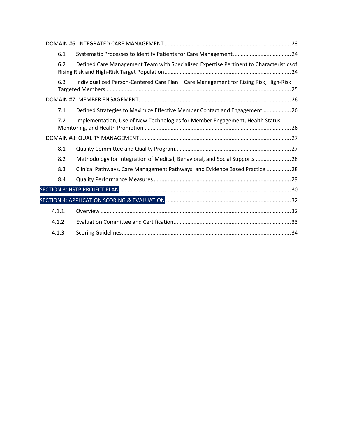|  | 6.1    |                                                                                         |  |
|--|--------|-----------------------------------------------------------------------------------------|--|
|  | 6.2    | Defined Care Management Team with Specialized Expertise Pertinent to Characteristics of |  |
|  | 6.3    | Individualized Person-Centered Care Plan - Care Management for Rising Risk, High-Risk   |  |
|  |        |                                                                                         |  |
|  | 7.1    | Defined Strategies to Maximize Effective Member Contact and Engagement  26              |  |
|  | 7.2    | Implementation, Use of New Technologies for Member Engagement, Health Status            |  |
|  |        |                                                                                         |  |
|  | 8.1    |                                                                                         |  |
|  | 8.2    | Methodology for Integration of Medical, Behavioral, and Social Supports  28             |  |
|  | 8.3    | Clinical Pathways, Care Management Pathways, and Evidence Based Practice  28            |  |
|  | 8.4    |                                                                                         |  |
|  |        |                                                                                         |  |
|  |        |                                                                                         |  |
|  | 4.1.1. |                                                                                         |  |
|  | 4.1.2  |                                                                                         |  |
|  | 4.1.3  |                                                                                         |  |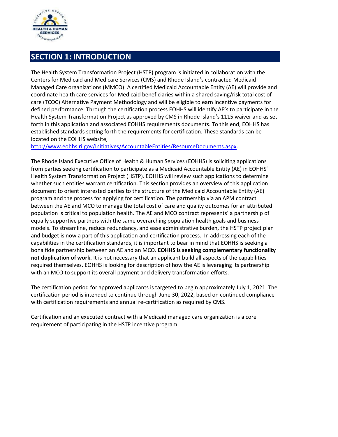

# <span id="page-3-0"></span>**SECTION 1: INTRODUCTION**

The Health System Transformation Project (HSTP) program is initiated in collaboration with the Centers for Medicaid and Medicare Services (CMS) and Rhode Island's contracted Medicaid Managed Care organizations (MMCO). A certified Medicaid Accountable Entity (AE) will provide and coordinate health care services for Medicaid beneficiaries within a shared saving/risk total cost of care (TCOC) Alternative Payment Methodology and will be eligible to earn incentive payments for defined performance. Through the certification process EOHHS will identify AE's to participate in the Health System Transformation Project as approved by CMS in Rhode Island's 1115 waiver and as set forth in this application and associated EOHHS requirements documents. To this end, EOHHS has established standards setting forth the requirements for certification. These standards can be located on the EOHHS website,

[http://www.eohhs.ri.gov/Initiatives/AccountableEntities/ResourceDocuments.aspx.](http://www.eohhs.ri.gov/Initiatives/AccountableEntities/ResourceDocuments.aspx)

The Rhode Island Executive Office of Health & Human Services (EOHHS) is soliciting applications from parties seeking certification to participate as a Medicaid Accountable Entity (AE) in EOHHS' Health System Transformation Project (HSTP). EOHHS will review such applications to determine whether such entities warrant certification. This section provides an overview of this application document to orient interested parties to the structure of the Medicaid Accountable Entity (AE) program and the process for applying for certification. The partnership via an APM contract between the AE and MCO to manage the total cost of care and quality outcomes for an attributed population is critical to population health. The AE and MCO contract represents' a partnership of equally supportive partners with the same overarching population health goals and business models. To streamline, reduce redundancy, and ease administrative burden, the HSTP project plan and budget is now a part of this application and certification process. In addressing each of the capabilities in the certification standards, it is important to bear in mind that EOHHS is seeking a bona fide partnership between an AE and an MCO. **EOHHS is seeking complementary functionality not duplication of work.** It is not necessary that an applicant build all aspects of the capabilities required themselves. EOHHS is looking for description of how the AE is leveraging its partnership with an MCO to support its overall payment and delivery transformation efforts.

The certification period for approved applicants is targeted to begin approximately July 1, 2021. The certification period is intended to continue through June 30, 2022, based on continued compliance with certification requirements and annual re-certification as required by CMS.

Certification and an executed contract with a Medicaid managed care organization is a core requirement of participating in the HSTP incentive program.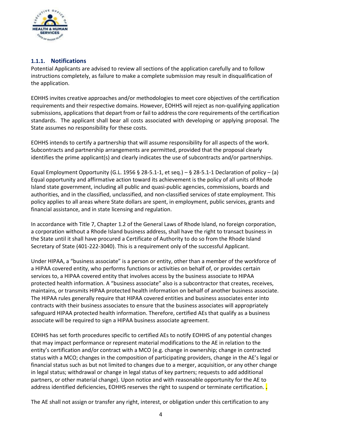

# <span id="page-4-0"></span>**1.1.1. Notifications**

Potential Applicants are advised to review all sections of the application carefully and to follow instructions completely, as failure to make a complete submission may result in disqualification of the application.

EOHHS invites creative approaches and/or methodologies to meet core objectives of the certification requirements and their respective domains. However, EOHHS will reject as non-qualifying application submissions, applications that depart from or fail to address the core requirements of the certification standards. The applicant shall bear all costs associated with developing or applying proposal. The State assumes no responsibility for these costs.

EOHHS intends to certify a partnership that will assume responsibility for all aspects of the work. Subcontracts and partnership arrangements are permitted, provided that the proposal clearly identifies the prime applicant(s) and clearly indicates the use of subcontracts and/or partnerships.

Equal Employment Opportunity (G.L. 1956 § 28-5.1-1, et seq.) – § 28-5.1-1 Declaration of policy – (a) Equal opportunity and affirmative action toward its achievement is the policy of all units of Rhode Island state government, including all public and quasi-public agencies, commissions, boards and authorities, and in the classified, unclassified, and non-classified services of state employment. This policy applies to all areas where State dollars are spent, in employment, public services, grants and financial assistance, and in state licensing and regulation.

In accordance with Title 7, Chapter 1.2 of the General Laws of Rhode Island, no foreign corporation, a corporation without a Rhode Island business address, shall have the right to transact business in the State until it shall have procured a Certificate of Authority to do so from the Rhode Island Secretary of State (401-222-3040). This is a requirement only of the successful Applicant.

Under HIPAA, a "business associate" is a person or entity, other than a member of the workforce of a HIPAA covered entity, who performs functions or activities on behalf of, or provides certain services to, a HIPAA covered entity that involves access by the business associate to HIPAA protected health information. A "business associate" also is a subcontractor that creates, receives, maintains, or transmits HIPAA protected health information on behalf of another business associate. The HIPAA rules generally require that HIPAA covered entities and business associates enter into contracts with their business associates to ensure that the business associates will appropriately safeguard HIPAA protected health information. Therefore, certified AEs that qualify as a business associate will be required to sign a HIPAA business associate agreement.

EOHHS has set forth procedures specific to certified AEs to notify EOHHS of any potential changes that may impact performance or represent material modifications to the AE in relation to the entity's certification and/or contract with a MCO (e.g. change in ownership; change in contracted status with a MCO; changes in the composition of participating providers, change in the AE's legal or financial status such as but not limited to changes due to a merger, acquisition, or any other change in legal status; withdrawal or change in legal status of key partners; requests to add additional partners, or other material change). Upon notice and with reasonable opportunity for the AE to address identified deficiencies, EOHHS reserves the right to suspend or terminate certification. **.**

The AE shall not assign or transfer any right, interest, or obligation under this certification to any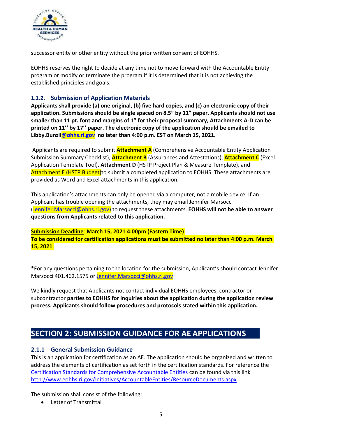

successor entity or other entity without the prior written consent of EOHHS.

EOHHS reserves the right to decide at any time not to move forward with the Accountable Entity program or modify or terminate the program if it is determined that it is not achieving the established principles and goals.

#### <span id="page-5-0"></span>**1.1.2. Submission of Application Materials**

**Applicants shall provide (a) one original, (b) five hard copies, and (c) an electronic copy of their application. Submissions should be single spaced on 8.5" by 11" paper. Applicants should not use smaller than 11 pt. font and margins of 1" for their proposal summary, Attachments A-D can be printed on 11'' by 17'' paper. The electronic copy of the application should be emailed to Libby.Bunzl[i@ohhs.ri.gov](mailto:@ohhs.ri.gov) no later than 4:00 p.m. EST on March 15, 2021.**

Applicants are required to submit **Attachment A** (Comprehensive Accountable Entity Application Submission Summary Checklist), **Attachment B** (Assurances and Attestations), **Attachment C** (Excel Application Template Tool), **Attachment D** (HSTP Project Plan & Measure Template), and Attachment E (HSTP Budget)to submit a completed application to EOHHS. These attachments are provided as Word and Excel attachments in this application.

This application's attachments can only be opened via a computer, not a mobile device. If an Applicant has trouble opening the attachments, they may email Jennifer Marsocci [\(Jennifer.Marsocci@ohhs.ri.gov\)](mailto:Jennifer.Marsocci@ohhs.ri.gov) to request these attachments. **EOHHS will not be able to answer questions from Applicants related to this application.**

**Submission Deadline**: **March 15, 2021 4:00pm (Eastern Time) To be considered for certification applications must be submitted no later than 4:00 p.m. March 15, 2021**.

\*For any questions pertaining to the location for the submission, Applicant's should contact Jennifer Marsocci 401.462.1575 or [Jennifer.Marsocci@ohhs.ri.gov](mailto:Jennifer.Marsocci@ohhs.ri.gov)

We kindly request that Applicants not contact individual EOHHS employees, contractor or subcontractor **parties to EOHHS for inquiries about the application during the application review process. Applicants should follow procedures and protocols stated within this application.**

# <span id="page-5-1"></span>**SECTION 2: SUBMISSION GUIDANCE FOR AE APPLICATIONS**

# <span id="page-5-2"></span>**2.1.1 General Submission Guidance**

This is an application for certification as an AE. The application should be organized and written to address the elements of certification as set forth in the certification standards. For reference the [Certification Standards for Comprehensive Accountable Entities](http://www.eohhs.ri.gov/Portals/0/Uploads/Documents/AE/AE_CertificationStandards_053117.pdf) can be found via this link [http://www.eohhs.ri.gov/Initiatives/AccountableEntities/ResourceDocuments.aspx.](http://www.eohhs.ri.gov/Initiatives/AccountableEntities/ResourceDocuments.aspx)

The submission shall consist of the following:

• Letter of Transmittal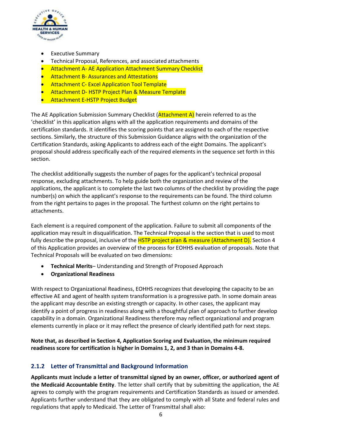

- **Executive Summary**
- Technical Proposal, References, and associated attachments
- Attachment A- AE Application Attachment Summary Checklist
- **•** Attachment B-Assurances and Attestations
- **•** Attachment C- Excel Application Tool Template
- Attachment D- HSTP Project Plan & Measure Template
- **•** Attachment E-HSTP Project Budget

The AE Application Submission Summary Checklist ( $\overrightarrow{Attention}$ ) herein referred to as the 'checklist' in this application aligns with all the application requirements and domains of the certification standards. It identifies the scoring points that are assigned to each of the respective sections. Similarly, the structure of this Submission Guidance aligns with the organization of the Certification Standards, asking Applicants to address each of the eight Domains. The applicant's proposal should address specifically each of the required elements in the sequence set forth in this section.

The checklist additionally suggests the number of pages for the applicant's technical proposal response, excluding attachments. To help guide both the organization and review of the applications, the applicant is to complete the last two columns of the checklist by providing the page number(s) on which the applicant's response to the requirements can be found. The third column from the right pertains to pages in the proposal. The furthest column on the right pertains to attachments.

Each element is a required component of the application. Failure to submit all components of the application may result in disqualification. The Technical Proposal is the section that is used to most fully describe the proposal, inclusive of the HSTP project plan & measure (Attachment D). Section 4 of this Application provides an overview of the process for EOHHS evaluation of proposals. Note that Technical Proposals will be evaluated on two dimensions:

- **Technical Merits** Understanding and Strength of Proposed Approach
- **Organizational Readiness**

With respect to Organizational Readiness, EOHHS recognizes that developing the capacity to be an effective AE and agent of health system transformation is a progressive path. In some domain areas the applicant may describe an existing strength or capacity. In other cases, the applicant may identify a point of progress in readiness along with a thoughtful plan of approach to further develop capability in a domain. Organizational Readiness therefore may reflect organizational and program elements currently in place or it may reflect the presence of clearly identified path for next steps.

**Note that, as described in Section 4, Application Scoring and Evaluation, the minimum required readiness score for certification is higher in Domains 1, 2, and 3 than in Domains 4-8.**

# <span id="page-6-0"></span>**2.1.2 Letter of Transmittal and Background Information**

**Applicants must include a letter of transmittal signed by an owner, officer, or authorized agent of the Medicaid Accountable Entity**. The letter shall certify that by submitting the application, the AE agrees to comply with the program requirements and Certification Standards as issued or amended. Applicants further understand that they are obligated to comply with all State and federal rules and regulations that apply to Medicaid. The Letter of Transmittal shall also: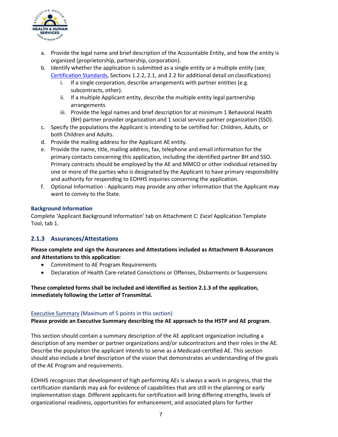

- a. Provide the legal name and brief description of the Accountable Entity, and how the entity is organized (proprietorship, partnership, corporation).
- b. Identify whether the application is submitted as a single entity or a multiple entity (see [Certification Standards,](http://www.eohhs.ri.gov/Portals/0/Uploads/Documents/AE/AE_CertificationStandards_053117.pdf) Sections 1.2.2, 2.1, and 2.2 for additional detail onclassifications)
	- i. If a single corporation, describe arrangements with partner entities (e.g. subcontracts, other).
	- ii. If a multiple Applicant entity, describe the multiple entity legal partnership arrangements
	- iii. Provide the legal names and brief description for at minimum 1 Behavioral Health (BH) partner provider organization and 1 social service partner organization (SSO).
- c. Specify the populations the Applicant is intending to be certified for: Children, Adults, or both Children and Adults.
- d. Provide the mailing address for the Applicant AE entity.
- e. Provide the name, title, mailing address, fax, telephone and email information for the primary contacts concerning this application, including the identified partner BH and SSO. Primary contracts should be employed by the AE and MMCO or other individual retained by one or more of the parties who is designated by the Applicant to have primary responsibility and authority for responding to EOHHS inquiries concerning the application.
- f. Optional Information Applicants may provide any other information that the Applicant may want to convey to the State.

#### **Background Information**

Complete 'Applicant Background Information' tab on Attachment C: *Excel* Application Template Tool, tab 1.

# **2.1.3 Assurances/Attestations**

**Please complete and sign the Assurances and Attestations included as Attachment B-Assurances and Attestations to this application**:

- Commitment to AE Program Requirements
- Declaration of Health Care-related Convictions or Offenses, Disbarments or Suspensions

**These completed forms shall be included and identified as Section 2.1.3 of the application, immediately following the Letter of Transmittal.**

#### Executive Summary (Maximum of 5 points in this section)

**Please provide an Executive Summary describing the AE approach to the HSTP and AE program**.

This section should contain a summary description of the AE applicant organization including a description of any member or partner organizations and/or subcontractors and their roles in the AE. Describe the population the applicant intends to serve as a Medicaid-certified AE. This section should also include a brief description of the vision that demonstrates an understanding of the goals of the AE Program and requirements.

EOHHS recognizes that development of high performing AEs is always a work in progress, that the certification standards may ask for evidence of capabilities that are still in the planning or early implementation stage. Different applicants for certification will bring differing strengths, levels of organizational readiness, opportunities for enhancement, and associated plans for further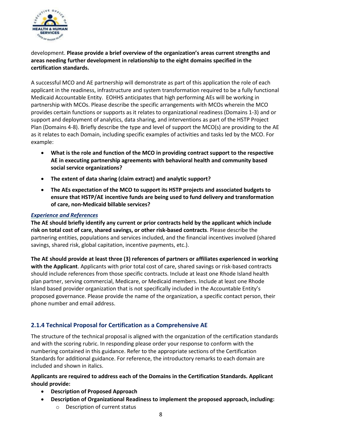

development. **Please provide a brief overview of the organization's areas current strengths and areas needing further development in relationship to the eight domains specified in the certification standards.**

A successful MCO and AE partnership will demonstrate as part of this application the role of each applicant in the readiness, infrastructure and system transformation required to be a fully functional Medicaid Accountable Entity. EOHHS anticipates that high performing AEs will be working in partnership with MCOs. Please describe the specific arrangements with MCOs wherein the MCO provides certain functions or supports as it relates to organizational readiness (Domains 1-3) and or support and deployment of analytics, data sharing, and interventions as part of the HSTP Project Plan (Domains 4-8). Briefly describe the type and level of support the MCO(s) are providing to the AE as it relates to each Domain, including specific examples of activities and tasks led by the MCO. For example:

- **What is the role and function of the MCO in providing contract support to the respective AE in executing partnership agreements with behavioral health and community based social service organizations?**
- **The extent of data sharing (claim extract) and analytic support?**
- **The AEs expectation of the MCO to support its HSTP projects and associated budgets to ensure that HSTP/AE incentive funds are being used to fund delivery and transformation of care, non-Medicaid billable services?**

# *Experience and References*

**The AE should briefly identify any current or prior contracts held by the applicant which include risk on total cost of care, shared savings, or other risk-based contracts**. Please describe the partnering entities, populations and services included, and the financial incentives involved (shared savings, shared risk, global capitation, incentive payments, etc.).

**The AE should provide at least three (3) references of partners or affiliates experienced in working with the Applicant**. Applicants with prior total cost of care, shared savings or risk-based contracts should include references from those specific contracts. Include at least one Rhode Island health plan partner, serving commercial, Medicare, or Medicaid members. Include at least one Rhode Island based provider organization that is not specifically included in the Accountable Entity's proposed governance. Please provide the name of the organization, a specific contact person, their phone number and email address.

# <span id="page-8-0"></span>**2.1.4 Technical Proposal for Certification as a Comprehensive AE**

The structure of the technical proposal is aligned with the organization of the certification standards and with the scoring rubric. In responding please order your response to conform with the numbering contained in this guidance. Refer to the appropriate sections of the Certification Standards for additional guidance. For reference, the introductory remarks to each domain are included and shown in italics.

#### **Applicants are required to address each of the Domains in the Certification Standards. Applicant should provide:**

- **Description of Proposed Approach**
- **Description of Organizational Readiness to implement the proposed approach, including:**
	- o Description of current status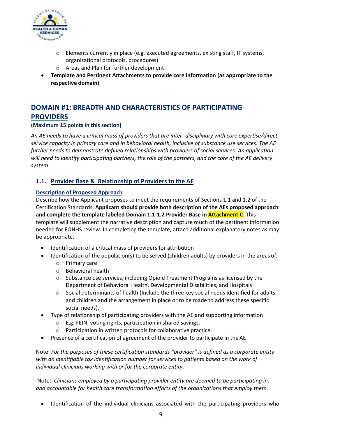

- $\circ$  Elements currently in place (e.g. executed agreements, existing staff, IT systems, organizational protocols, procedures)
- o Areas and Plan for further development
- **Template and Pertinent Attachments to provide core information (as appropriate to the respective domain)**

# <span id="page-9-0"></span>**DOMAIN #1: BREADTH AND CHARACTERISTICS OF PARTICIPATING PROVIDERS**

**(Maximum 15 points in this section)**

*An AE needs to have a critical mass of providers that are inter- disciplinary with core expertise/direct service capacity in primary care and in behavioral health, inclusive of substance use services. The AE further needs to demonstrate defined relationships with providers of social services. An application will need to identify participating partners, the role of the partners, and the core of the AE delivery system.* 

# <span id="page-9-1"></span>**1.1. Provider Base & Relationship of Providers to the AE**

#### **Description of Proposed Approach**

Describe how the Applicant proposes to meet the requirements of Sections 1.1 and 1.2 of the Certification Standards. **Applicant should provide both description of the AEs proposed approach and complete the template labeled Domain 1.1-1.2 Provider Base in Attachment C.** This template will supplement the narrative description and capture much of the pertinent information needed for EOHHS review. In completing the template, attach additional explanatory notes as may be appropriate.

- Identification of a critical mass of providers for attribution
- Identification of the population(s) to be served (children adults) by providers in the areas of:
	- o Primary care
	- o Behavioral health
	- $\circ$  Substance use services, including Opioid Treatment Programs as licensed by the Department of Behavioral Health, Developmental Disabilities, and Hospitals
	- $\circ$  Social determinants of health (Include the three key social needs identified for adults and children and the arrangement in place or to be made to address these specific social needs).
- Type of relationship of participating providers with the AE and supporting information
	- o E.g. FEIN, voting rights, participation in shared savings,
	- o Participation in written protocols for collaborative practice.
- Presence of a certification of agreement of the provider to participate in the AE

Note: *For the purposes of these certification standards "provider" is defined as a corporate entity with an identifiable tax identification number for services to patients based on the work of individual clinicians working with or for the corporate entity.*

Note: *Clinicians employed by a participating provider entity are deemed to be participating in, and accountable for health care transformation efforts of the organizations that employ them.*

• Identification of the individual clinicians associated with the participating providers who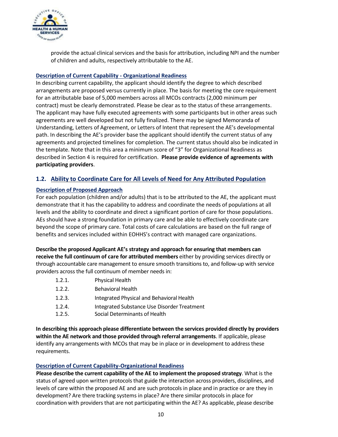

provide the actual clinical services and the basis for attribution, including NPI and the number of children and adults, respectively attributable to the AE.

#### **Description of Current Capability - Organizational Readiness**

In describing current capability, the applicant should identify the degree to which described arrangements are proposed versus currently in place. The basis for meeting the core requirement for an attributable base of 5,000 members across all MCOs contracts (2,000 minimum per contract) must be clearly demonstrated. Please be clear as to the status of these arrangements. The applicant may have fully executed agreements with some participants but in other areas such agreements are well developed but not fully finalized. There may be signed Memoranda of Understanding, Letters of Agreement, or Letters of Intent that represent the AE's developmental path. In describing the AE's provider base the applicant should identify the current status of any agreements and projected timelines for completion. The current status should also be indicated in the template. Note that in this area a minimum score of "3" for Organizational Readiness as described in Section 4 is required for certification. **Please provide evidence of agreements with participating providers**.

# <span id="page-10-0"></span>**1.2. Ability to Coordinate Care for All Levels of Need for Any Attributed Population**

#### **Description of Proposed Approach**

For each population (children and/or adults) that is to be attributed to the AE, the applicant must demonstrate that it has the capability to address and coordinate the needs of populations at all levels and the ability to coordinate and direct a significant portion of care for those populations. AEs should have a strong foundation in primary care and be able to effectively coordinate care beyond the scope of primary care. Total costs of care calculations are based on the full range of benefits and services included within EOHHS's contract with managed care organizations.

**Describe the proposed Applicant AE's strategy and approach for ensuring that members can receive the full continuum of care for attributed members** either by providing services directly or through accountable care management to ensure smooth transitions to, and follow-up with service providers across the full continuum of member needs in:

- 1.2.1. Physical Health
- 1.2.2. Behavioral Health
- 1.2.3. Integrated Physical and Behavioral Health
- 1.2.4. Integrated Substance Use Disorder Treatment
- 1.2.5. Social Determinants of Health

**In describing this approach please differentiate between the services provided directly by providers within the AE network and those provided through referral arrangements**. If applicable, please identify any arrangements with MCOs that may be in place or in development to address these requirements.

#### **Description of Current Capability-Organizational Readiness**

**Please describe the current capability of the AE to implement the proposed strategy**. What is the status of agreed upon written protocols that guide the interaction across providers, disciplines, and levels of care within the proposed AE and are such protocols in place and in practice or are they in development? Are there tracking systems in place? Are there similar protocols in place for coordination with providers that are not participating within the AE? As applicable, please describe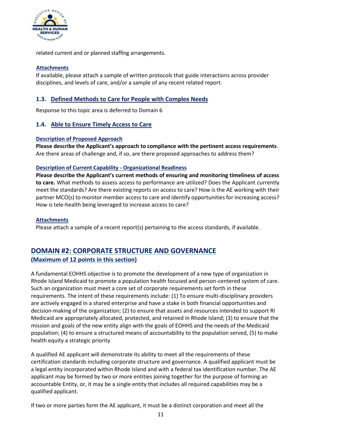

related current and or planned staffing arrangements.

# **Attachments**

If available, please attach a sample of written protocols that guide interactions across provider disciplines, and levels of care, and/or a sample of any recent related report.

# <span id="page-11-0"></span>**1.3. Defined Methods to Care for People with Complex Needs**

Response to this topic area is deferred to Domain 6

# <span id="page-11-1"></span>**1.4. Able to Ensure Timely Access to Care**

#### **Description of Proposed Approach**

**Please describe the Applicant's approach to compliance with the pertinent access requirements**. Are there areas of challenge and, if so, are there proposed approaches to address them?

#### **Description of Current Capability - Organizational Readiness**

**Please describe the Applicant's current methods of ensuring and monitoring timeliness of access to care.** What methods to assess access to performance are utilized? Does the Applicant currently meet the standards? Are there existing reports on access to care? How is the AE working with their partner MCO(s) to monitor member access to care and identify opportunities for increasing access? How is tele-health being leveraged to increase access to care?

#### **Attachments**

Please attach a sample of a recent report(s) pertaining to the access standards, if available.

# <span id="page-11-2"></span>**DOMAIN #2: CORPORATE STRUCTURE AND GOVERNANCE (Maximum of 12 points in this section)**

A fundamental EOHHS objective is to promote the development of a new type of organization in Rhode Island Medicaid to promote a population health focused and person-centered system of care. Such an organization must meet a core set of corporate requirements set forth in these requirements. The intent of these requirements include: (1) To ensure multi-disciplinary providers are actively engaged in a shared enterprise and have a stake in both financial opportunities and decision-making of the organization; (2) to ensure that assets and resources intended to support RI Medicaid are appropriately allocated, protected, and retained in Rhode Island; (3) to ensure that the mission and goals of the new entity align with the goals of EOHHS and the needs of the Medicaid population; (4) to ensure a structured means of accountability to the population served, (5) to make health equity a strategic priority

A qualified AE applicant will demonstrate its ability to meet all the requirements of these certification standards including corporate structure and governance. A qualified applicant must be a legal entity incorporated within Rhode Island and with a federal tax identification number. The AE applicant may be formed by two or more entities joining together for the purpose of forming an accountable Entity, or, it may be a single entity that includes all required capabilities may be a qualified applicant.

If two or more parties form the AE applicant, it must be a distinct corporation and meet all the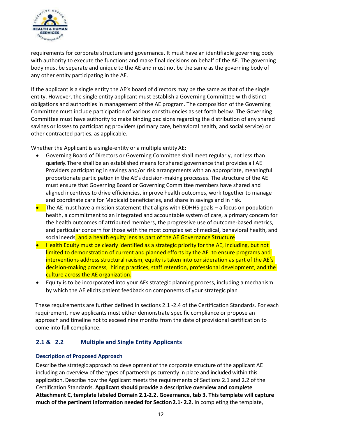

requirements for corporate structure and governance. It must have an identifiable governing body with authority to execute the functions and make final decisions on behalf of the AE. The governing body must be separate and unique to the AE and must not be the same as the governing body of any other entity participating in the AE.

If the applicant is a single entity the AE's board of directors may be the same as that of the single entity. However, the single entity applicant must establish a Governing Committee with distinct obligations and authorities in management of the AE program. The composition of the Governing Committee must include participation of various constituencies as set forth below. The Governing Committee must have authority to make binding decisions regarding the distribution of any shared savings or losses to participating providers (primary care, behavioral health, and social service) or other contracted parties, as applicable.

Whether the Applicant is a single-entity or a multiple entity AE:

- Governing Board of Directors or Governing Committee shall meet regularly, not less than quarterly.There shall be an established means for shared governance that provides all AE Providers participating in savings and/or risk arrangements with an appropriate, meaningful proportionate participation in the AE's decision-making processes. The structure of the AE must ensure that Governing Board or Governing Committee members have shared and aligned incentives to drive efficiencies, improve health outcomes, work together to manage and coordinate care for Medicaid beneficiaries, and share in savings and in risk.
- The AE must have a mission statement that aligns with EOHHS goals a focus on population health, a commitment to an integrated and accountable system of care, a primary concern for the health outcomes of attributed members, the progressive use of outcome-based metrics, and particular concern for those with the most complex set of medical, behavioral health, and social needs, and a health equity lens as part of the AE Governance Structure
- Health Equity must be clearly identified as a strategic priority for the AE, including, but not limited to demonstration of current and planned efforts by the AE to ensure programs and interventions address structural racism, equity is taken into consideration as part of the AE's decision-making process, hiring practices, staff retention, professional development, and the culture across the AE organization.
- Equity is to be incorporated into your AEs strategic planning process, including a mechanism by which the AE elicits patient feedback on components of your strategic plan

These requirements are further defined in sections 2.1 -2.4 of the Certification Standards. For each requirement, new applicants must either demonstrate specific compliance or propose an approach and timeline not to exceed nine months from the date of provisional certification to come into full compliance.

# <span id="page-12-0"></span>**2.1 & 2.2 Multiple and Single Entity Applicants**

# **Description of Proposed Approach**

Describe the strategic approach to development of the corporate structure of the applicant AE including an overview of the types of partnerships currently in place and included within this application. Describe how the Applicant meets the requirements of Sections 2.1 and 2.2 of the Certification Standards. **Applicant should provide a descriptive overview and complete Attachment C, template labeled Domain 2.1-2.2. Governance, tab 3. This template will capture much of the pertinent information needed for Section2.1- 2.2.** In completing the template,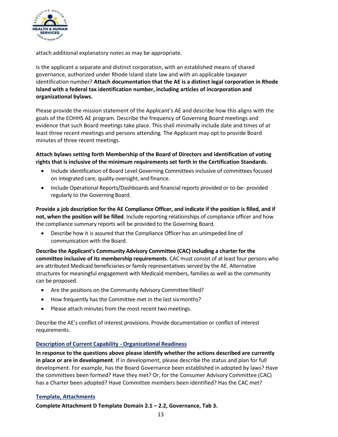

attach additional explanatory notes as may be appropriate.

Is the applicant a separate and distinct corporation, with an established means of shared governance, authorized under Rhode Island state law and with an applicable taxpayer identification number? **Attach documentation that the AE is a distinct legal corporation in Rhode Island with a federal tax identification number, including articles of incorporation and organizational bylaws.**

Please provide the mission statement of the Applicant's AE and describe how this aligns with the goals of the EOHHS AE program. Describe the frequency of Governing Board meetings and evidence that such Board meetings take place. This shall minimally include date and times of at least three recent meetings and persons attending. The Applicant may opt to provide Board minutes of three recent meetings.

#### **Attach bylaws setting forth Membership of the Board of Directors and identification of voting rights that is inclusive of the minimum requirements set forth in the Certification Standards**.

- Include identification of Board Level Governing Committees inclusive of committees focused on integrated care, quality oversight, and finance.
- Include Operational Reports/Dashboards and financial reports provided or to-be- provided regularly to the Governing Board.

**Provide a job description for the AE Compliance Officer, and indicate if the position is filled, and if not, when the position will be filled**. Include reporting relationships of compliance officer and how the compliance summary reports will be provided to the Governing Board.

• Describe how it is assured that the Compliance Officer has an unimpeded line of communication with the Board.

**Describe the Applicant's Community Advisory Committee (CAC) including a charter for the committee inclusive of its membership requirements**. CAC must consist of at least four persons who are attributed Medicaid beneficiaries or family representatives served by the AE. Alternative structures for meaningful engagement with Medicaid members, families as well as the community can be proposed.

- Are the positions on the Community Advisory Committee filled?
- How frequently has the Committee met in the last sixmonths?
- Please attach minutes from the most recent two meetings.

Describe the AE's conflict of interest provisions. Provide documentation or conflict of interest requirements.

# **Description of Current Capability - Organizational Readiness**

**In response to the questions above please identify whether the actions described are currently in place or are in development**. If in development, please describe the status and plan for full development. For example, has the Board Governance been established in adopted by laws? Have the committees been formed? Have they met? Or, for the Consumer Advisory Committee (CAC) has a Charter been adopted? Have Committee members been identified? Has the CAC met?

#### **Template, Attachments**

**Complete Attachment D Template Domain 2.1 – 2.2, Governance, Tab 3.**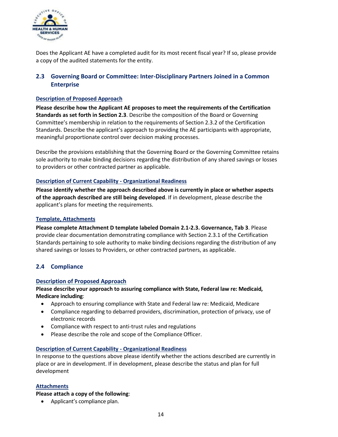

Does the Applicant AE have a completed audit for its most recent fiscal year? If so, please provide a copy of the audited statements for the entity.

# <span id="page-14-0"></span>**2.3 Governing Board or Committee: Inter-Disciplinary Partners Joined in a Common Enterprise**

#### **Description of Proposed Approach**

**Please describe how the Applicant AE proposes to meet the requirements of the Certification Standards as set forth in Section 2.3**. Describe the composition of the Board or Governing Committee's membership in relation to the requirements of Section 2.3.2 of the Certification Standards. Describe the applicant's approach to providing the AE participants with appropriate, meaningful proportionate control over decision making processes.

Describe the provisions establishing that the Governing Board or the Governing Committee retains sole authority to make binding decisions regarding the distribution of any shared savings or losses to providers or other contracted partner as applicable.

#### **Description of Current Capability - Organizational Readiness**

**Please identify whether the approach described above is currently in place or whether aspects of the approach described are still being developed**. If in development, please describe the applicant's plans for meeting the requirements.

#### **Template, Attachments**

**Please complete Attachment D template labeled Domain 2.1-2.3. Governance, Tab 3**. Please provide clear documentation demonstrating compliance with Section 2.3.1 of the Certification Standards pertaining to sole authority to make binding decisions regarding the distribution of any shared savings or losses to Providers, or other contracted partners, as applicable.

# <span id="page-14-1"></span>**2.4 Compliance**

#### **Description of Proposed Approach**

**Please describe your approach to assuring compliance with State, Federal law re: Medicaid, Medicare including**:

- Approach to ensuring compliance with State and Federal law re: Medicaid, Medicare
- Compliance regarding to debarred providers, discrimination, protection of privacy, use of electronic records
- Compliance with respect to anti-trust rules and regulations
- Please describe the role and scope of the Compliance Officer.

#### **Description of Current Capability - Organizational Readiness**

In response to the questions above please identify whether the actions described are currently in place or are in development. If in development, please describe the status and plan for full development

#### **Attachments**

#### **Please attach a copy of the following**:

• Applicant's compliance plan.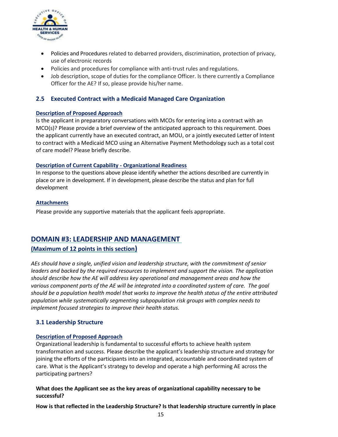

- Policies and Procedures related to debarred providers, discrimination, protection of privacy, use of electronic records
- Policies and procedures for compliance with anti-trust rules and regulations.
- Job description, scope of duties for the compliance Officer. Is there currently a Compliance Officer for the AE? If so, please provide his/her name.

# <span id="page-15-0"></span>**2.5 Executed Contract with a Medicaid Managed Care Organization**

#### **Description of Proposed Approach**

Is the applicant in preparatory conversations with MCOs for entering into a contract with an MCO(s)? Please provide a brief overview of the anticipated approach to this requirement. Does the applicant currently have an executed contract, an MOU, or a jointly executed Letter of Intent to contract with a Medicaid MCO using an Alternative Payment Methodology such as a total cost of care model? Please briefly describe.

#### **Description of Current Capability - Organizational Readiness**

In response to the questions above please identify whether the actions described are currently in place or are in development. If in development, please describe the status and plan for full development

#### **Attachments**

Please provide any supportive materials that the applicant feels appropriate.

# <span id="page-15-1"></span>**DOMAIN #3: LEADERSHIP AND MANAGEMENT**

# **(Maximum of 12 points in this section)**

*AEs should have a single, unified vision and leadership structure, with the commitment of senior leaders and backed by the required resources to implement and support the vision. The application should describe how the AE will address key operational and management areas and how the various component parts of the AE will be integrated into a coordinated system of care. The goal should be a population health model that works to improve the health status of the entire attributed population while systematically segmenting subpopulation risk groups with complex needs to implement focused strategies to improve their health status.*

# <span id="page-15-2"></span>**3.1 Leadership Structure**

# **Description of Proposed Approach**

Organizational leadership is fundamental to successful efforts to achieve health system transformation and success. Please describe the applicant's leadership structure and strategy for joining the efforts of the participants into an integrated, accountable and coordinated system of care. What is the Applicant's strategy to develop and operate a high performing AE across the participating partners?

# **What does the Applicant see as the key areas of organizational capability necessary to be successful?**

**How is that reflected in the Leadership Structure? Is that leadership structure currently in place**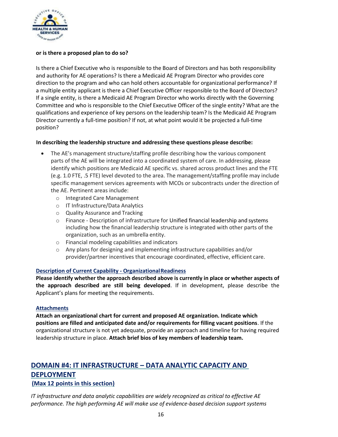

#### **or is there a proposed plan to do so?**

Is there a Chief Executive who is responsible to the Board of Directors and has both responsibility and authority for AE operations? Is there a Medicaid AE Program Director who provides core direction to the program and who can hold others accountable for organizational performance? If a multiple entity applicant is there a Chief Executive Officer responsible to the Board of Directors? If a single entity, is there a Medicaid AE Program Director who works directly with the Governing Committee and who is responsible to the Chief Executive Officer of the single entity? What are the qualifications and experience of key persons on the leadership team? Is the Medicaid AE Program Director currently a full-time position? If not, at what point would it be projected a full-time position?

#### **In describing the leadership structure and addressing these questions please describe:**

- The AE's management structure/staffing profile describing how the various component parts of the AE will be integrated into a coordinated system of care. In addressing, please identify which positions are Medicaid AE specific vs. shared across product lines and the FTE (e.g. 1.0 FTE, .5 FTE) level devoted to the area. The management/staffing profile may include specific management services agreements with MCOs or subcontracts under the direction of the AE. Pertinent areas include:
	- o Integrated Care Management
	- o IT Infrastructure/Data Analytics
	- o Quality Assurance and Tracking
	- o Finance Description of infrastructure for Unified financial leadership and systems including how the financial leadership structure is integrated with other parts of the organization, such as an umbrella entity.
	- o Financial modeling capabilities and indicators
	- o Any plans for designing and implementing infrastructure capabilities and/or provider/partner incentives that encourage coordinated, effective, efficient care.

#### **Description of Current Capability - OrganizationalReadiness**

**Please identify whether the approach described above is currently in place or whether aspects of the approach described are still being developed**. If in development, please describe the Applicant's plans for meeting the requirements.

#### **Attachments**

**Attach an organizational chart for current and proposed AE organization. Indicate which positions are filled and anticipated date and/or requirements for filling vacant positions**. If the organizational structure is not yet adequate, provide an approach and timeline for having required leadership structure in place. **Attach brief bios of key members of leadership team.**

# <span id="page-16-0"></span>**DOMAIN #4: IT INFRASTRUCTURE – DATA ANALYTIC CAPACITY AND DEPLOYMENT (Max 12 points in this section)**

*IT infrastructure and data analytic capabilities are widely recognized as critical to effective AE performance. The high performing AE will make use of evidence-based decision support systems*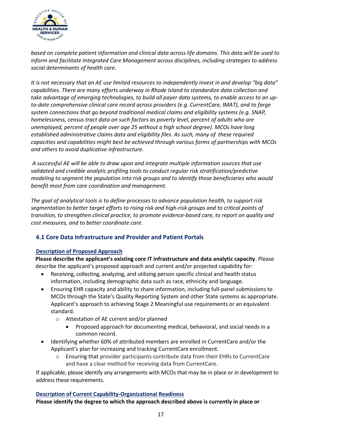

*based on complete patient information and clinical data across life domains. This data will be used to inform and facilitate Integrated Care Management across disciplines, including strategies to address social determinants of health care.*

*It is not necessary that an AE use limited resources to independently invest in and develop "big data" capabilities. There are many efforts underway in Rhode Island to standardize data collection and take advantage of emerging technologies, to build all payer data systems, to enable access to an upto-date comprehensive clinical care record across providers (e.g. CurrentCare, IMAT), and to forge system connections that go beyond traditional medical claims and eligibility systems (e.g. SNAP, homelessness, census tract data on such factors as poverty level, percent of adults who are unemployed, percent of people over age 25 without a high school degree). MCOs have long established administrative claims data and eligibility files. As such, many of these required capacities and capabilities might best be achieved through various forms of partnerships with MCOs and others to avoid duplicative infrastructure.*

*A successful AE will be able to draw upon and integrate multiple information sources that use validated and credible analytic profiling tools to conduct regular risk stratification/predictive modeling to segment the population into risk groups and to identify those beneficiaries who would benefit most from care coordination and management.*

*The goal of analytical tools is to define processes to advance population health, to support risk segmentation to better target efforts to rising risk and high-risk groups and to critical points of transition, to strengthen clinical practice, to promote evidence-based care, to report on quality and cost measures, and to better coordinate care.* 

# <span id="page-17-0"></span>**4.1 Core Data Infrastructure and Provider and Patient Portals**

#### **Description of Proposed Approach**

**Please describe the applicant's existing core IT infrastructure and data analytic capacity**. Please describe the applicant's proposed approach and current and/or projected capability for:

- Receiving, collecting, analyzing, and utilizing person specific clinical and health status information, including demographic data such as race, ethnicity and language.
- Ensuring EHR capacity and ability to share information, including full-panel submissions to MCOs through the State's Quality Reporting System and other State systems as appropriate. Applicant's approach to achieving Stage 2 Meaningful use requirements or an equivalent standard.
	- o Attestation of AE current and/or planned
		- Proposed approach for documenting medical, behavioral, and social needs in a common record.
- Identifying whether 60% of attributed members are enrolled in CurrentCare and/or the Applicant's plan for increasing and tracking CurrentCare enrollment.
	- o Ensuring that provider participants contribute data from their EHRs to CurrentCare and have a clear method for receiving data from CurrentCare.

If applicable, please identify any arrangements with MCOs that may be in place or in development to address these requirements.

#### **Description of Current Capability-Organizational Readiness**

**Please identify the degree to which the approach described above is currently in place or**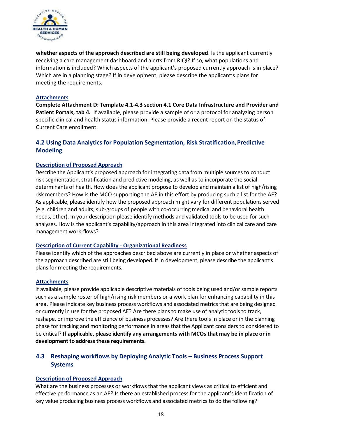

**whether aspects of the approach described are still being developed**. Is the applicant currently receiving a care management dashboard and alerts from RIQI? If so, what populations and information is included? Which aspects of the applicant's proposed currently approach is in place? Which are in a planning stage? If in development, please describe the applicant's plans for meeting the requirements.

#### **Attachments**

**Complete Attachment D: Template 4.1-4.3 section 4.1 Core Data Infrastructure and Provider and Patient Portals, tab 4.** If available, please provide a sample of or a protocol for analyzing person specific clinical and health status information. Please provide a recent report on the status of Current Care enrollment.

# <span id="page-18-0"></span>**4.2 Using Data Analytics for Population Segmentation, Risk Stratification,Predictive Modeling**

#### **Description of Proposed Approach**

Describe the Applicant's proposed approach for integrating data from multiple sources to conduct risk segmentation, stratification and predictive modeling, as well as to incorporate the social determinants of health. How does the applicant propose to develop and maintain a list of high/rising risk members? How is the MCO supporting the AE in this effort by producing such a list for the AE? As applicable, please identify how the proposed approach might vary for different populations served (e.g. children and adults; sub-groups of people with co-occurring medical and behavioral health needs, other). In your description please identify methods and validated tools to be used for such analyses. How is the applicant's capability/approach in this area integrated into clinical care and care management work-flows?

#### **Description of Current Capability - Organizational Readiness**

Please identify which of the approaches described above are currently in place or whether aspects of the approach described are still being developed. If in development, please describe the applicant's plans for meeting the requirements.

#### **Attachments**

If available, please provide applicable descriptive materials of tools being used and/or sample reports such as a sample roster of high/rising risk members or a work plan for enhancing capability in this area**.** Please indicate key business process workflows and associated metrics that are being designed or currently in use for the proposed AE? Are there plans to make use of analytic tools to track, reshape, or improve the efficiency of business processes? Are there tools in place or in the planning phase for tracking and monitoring performance in areas that the Applicant considers to considered to be critical? **If applicable, please identify any arrangements with MCOs that may be in place or in development to address these requirements.**

# <span id="page-18-1"></span>**4.3 Reshaping workflows by Deploying Analytic Tools – Business Process Support Systems**

#### **Description of Proposed Approach**

What are the business processes or workflows that the applicant views as critical to efficient and effective performance as an AE? Is there an established process for the applicant's identification of key value producing business process workflows and associated metrics to do the following?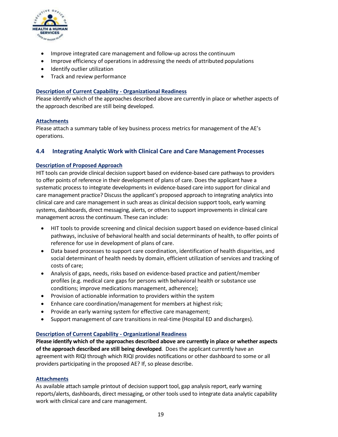

- Improve integrated care management and follow-up across the continuum
- Improve efficiency of operations in addressing the needs of attributed populations
- Identify outlier utilization
- Track and review performance

#### **Description of Current Capability - Organizational Readiness**

Please identify which of the approaches described above are currently in place or whether aspects of the approach described are still being developed.

#### **Attachments**

Please attach a summary table of key business process metrics for management of the AE's operations.

#### <span id="page-19-0"></span>**4.4 Integrating Analytic Work with Clinical Care and Care Management Processes**

#### **Description of Proposed Approach**

HIT tools can provide clinical decision support based on evidence-based care pathways to providers to offer points of reference in their development of plans of care. Does the applicant have a systematic process to integrate developments in evidence-based care into support for clinical and care management practice? Discuss the applicant's proposed approach to integrating analytics into clinical care and care management in such areas as clinical decision support tools, early warning systems, dashboards, direct messaging, alerts, or others to support improvements in clinical care management across the continuum. These can include:

- HIT tools to provide screening and clinical decision support based on evidence-based clinical pathways, inclusive of behavioral health and social determinants of health, to offer points of reference for use in development of plans of care.
- Data based processes to support care coordination, identification of health disparities, and social determinant of health needs by domain, efficient utilization of services and tracking of costs of care;
- Analysis of gaps, needs, risks based on evidence-based practice and patient/member profiles (e.g. medical care gaps for persons with behavioral health or substance use conditions; improve medications management, adherence);
- Provision of actionable information to providers within the system
- Enhance care coordination/management for members at highest risk;
- Provide an early warning system for effective care management;
- Support management of care transitions in real-time (Hospital ED and discharges).

#### **Description of Current Capability - Organizational Readiness**

**Please identify which of the approaches described above are currently in place or whether aspects of the approach described are still being developed**. Does the applicant currently have an agreement with RIQI through which RIQI provides notifications or other dashboard to some or all providers participating in the proposed AE? If, so please describe.

#### **Attachments**

As available attach sample printout of decision support tool, gap analysis report, early warning reports/alerts, dashboards, direct messaging, or other tools used to integrate data analytic capability work with clinical care and care management.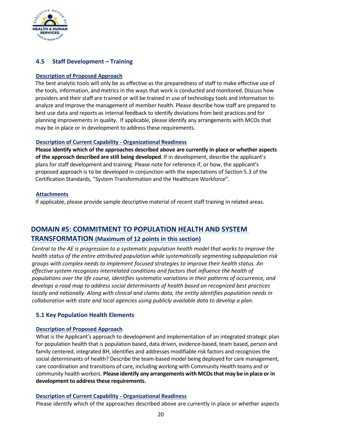

# **4.5 Staff Development – Training**

#### **Description of Proposed Approach**

The best analytic tools will only be as effective as the preparedness of staff to make effective use of the tools, information, and metrics in the ways that work is conducted and monitored. Discuss how providers and their staff are trained or will be trained in use of technology tools and information to analyze and improve the management of member health. Please describe how staff are prepared to best use data and reports as internal feedback to identify deviations from best practices and for planning improvements in quality. If applicable, please identify any arrangements with MCOs that may be in place or in development to address these requirements.

#### **Description of Current Capability - Organizational Readiness**

**Please identify which of the approaches described above are currently in place or whether aspects of the approach described are still being developed**. If in development, describe the applicant's plans for staff development and training. Please note for reference if, or how, the applicant's proposed approach is to be developed in conjunction with the expectations of Section 5.3 of the Certification Standards, "System Transformation and the Healthcare Workforce".

#### **Attachments**

If applicable, please provide sample descriptive material of recent staff training in related areas.

# <span id="page-20-0"></span>**DOMAIN #5: COMMITMENT TO POPULATION HEALTH AND SYSTEM TRANSFORMATION (Maximum of 12 points in this section)**

*Central to the AE is progression to a systematic population health model that works to improve the health status of the entire attributed population while systematically segmenting subpopulation risk groups with complex needs to implement focused strategies to improve their health status. An effective system recognizes interrelated conditions and factors that influence the health of populations over the life course, identifies systematic variations in their patterns of occurrence, and develops a road map to address social determinants of health based on recognized best practices locally and nationally. Along with clinical and claims data, the entity identifies population needs in collaboration with state and local agencies using publicly available data to develop a plan.*

#### <span id="page-20-1"></span>**5.1 Key Population Health Elements**

#### **Description of Proposed Approach**

What is the Applicant's approach to development and implementation of an integrated strategic plan for population health that is population based, data driven, evidence-based, team based, person and family centered, integrated BH, identifies and addresses modifiable risk factors and recognizes the social determinants of health? Describe the team-based model being deployed for care management, care coordination and transitions of care, including working with Community Health teams and or community health workers. **Please identify any arrangements with MCOsthat may be in place or in development to address these requirements.** 

#### **Description of Current Capability - Organizational Readiness**

Please identify which of the approaches described above are currently in place or whether aspects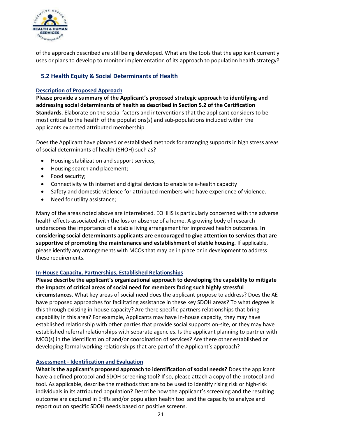

of the approach described are still being developed. What are the tools that the applicant currently uses or plans to develop to monitor implementation of its approach to population health strategy?

# <span id="page-21-0"></span>**5.2 Health Equity & Social Determinants of Health**

#### **Description of Proposed Approach**

**Please provide a summary of the Applicant's proposed strategic approach to identifying and addressing social determinants of health as described in Section 5.2 of the Certification Standards**. Elaborate on the social factors and interventions that the applicant considers to be most critical to the health of the populations(s) and sub-populations included within the applicants expected attributed membership.

Does the Applicant have planned or established methods for arranging supports in high stress areas of social determinants of health (SHOH) such as?

- Housing stabilization and support services;
- Housing search and placement;
- Food security;
- Connectivity with internet and digital devices to enable tele-health capacity
- Safety and domestic violence for attributed members who have experience of violence.
- Need for utility assistance;

Many of the areas noted above are interrelated. EOHHS is particularly concerned with the adverse health effects associated with the loss or absence of a home. A growing body of research underscores the importance of a stable living arrangement for improved health outcomes. **In considering social determinants applicants are encouraged to give attention to services that are supportive of promoting the maintenance and establishment of stable housing.** If applicable, please identify any arrangements with MCOs that may be in place or in development to address these requirements.

#### **In-House Capacity, Partnerships, Established Relationships**

**Please describe the applicant's organizational approach to developing the capability to mitigate the impacts of critical areas of social need for members facing such highly stressful circumstances**. What key areas of social need does the applicant propose to address? Does the AE have proposed approaches for facilitating assistance in these key SDOH areas? To what degree is this through existing in-house capacity? Are there specific partners relationships that bring capability in this area? For example, Applicants may have in-house capacity, they may have established relationship with other parties that provide social supports on-site, or they may have established referral relationships with separate agencies. Is the applicant planning to partner with MCO(s) in the identification of and/or coordination of services? Are there other established or developing formal working relationships that are part of the Applicant's approach?

#### **Assessment - Identification and Evaluation**

**What is the applicant's proposed approach to identification of social needs?** Does the applicant have a defined protocol and SDOH screening tool? If so, please attach a copy of the protocol and tool. As applicable, describe the methods that are to be used to identify rising risk or high-risk individuals in its attributed population? Describe how the applicant's screening and the resulting outcome are captured in EHRs and/or population health tool and the capacity to analyze and report out on specific SDOH needs based on positive screens.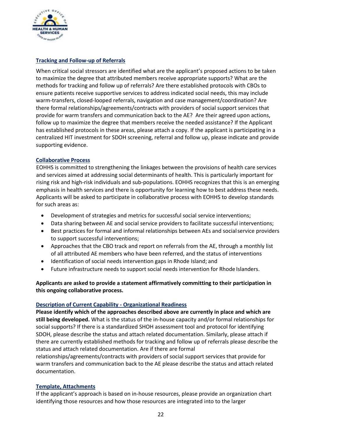

# **Tracking and Follow-up of Referrals**

When critical social stressors are identified what are the applicant's proposed actions to be taken to maximize the degree that attributed members receive appropriate supports? What are the methods for tracking and follow up of referrals? Are there established protocols with CBOs to ensure patients receive supportive services to address indicated social needs, this may include warm-transfers, closed-looped referrals, navigation and case management/coordination? Are there formal relationships/agreements/contracts with providers of social support services that provide for warm transfers and communication back to the AE? Are their agreed upon actions, follow up to maximize the degree that members receive the needed assistance? If the Applicant has established protocols in these areas, please attach a copy. If the applicant is participating in a centralized HIT investment for SDOH screening, referral and follow up, please indicate and provide supporting evidence.

#### **Collaborative Process**

EOHHS is committed to strengthening the linkages between the provisions of health care services and services aimed at addressing social determinants of health. This is particularly important for rising risk and high-risk individuals and sub-populations. EOHHS recognizes that this is an emerging emphasis in health services and there is opportunity for learning how to best address these needs. Applicants will be asked to participate in collaborative process with EOHHS to develop standards for such areas as:

- Development of strategies and metrics for successful social service interventions;
- Data sharing between AE and social service providers to facilitate successful interventions;
- Best practices for formal and informal relationships between AEs and socialservice providers to support successful interventions;
- Approaches that the CBO track and report on referrals from the AE, through a monthly list of all attributed AE members who have been referred, and the status of interventions
- Identification of social needs intervention gaps in Rhode Island; and
- Future infrastructure needs to support social needs intervention for Rhode Islanders.

# **Applicants are asked to provide a statement affirmatively committing to their participation in this ongoing collaborative process.**

#### **Description of Current Capability - Organizational Readiness**

**Please identify which of the approaches described above are currently in place and which are still being developed.** What is the status of the in-house capacity and/or formal relationships for social supports? If there is a standardized SHOH assessment tool and protocol for identifying SDOH, please describe the status and attach related documentation. Similarly, please attach if there are currently established methods for tracking and follow up of referrals please describe the status and attach related documentation. Are if there are formal

relationships/agreements/contracts with providers of social support services that provide for warm transfers and communication back to the AE please describe the status and attach related documentation.

#### **Template, Attachments**

If the applicant's approach is based on in-house resources, please provide an organization chart identifying those resources and how those resources are integrated into to the larger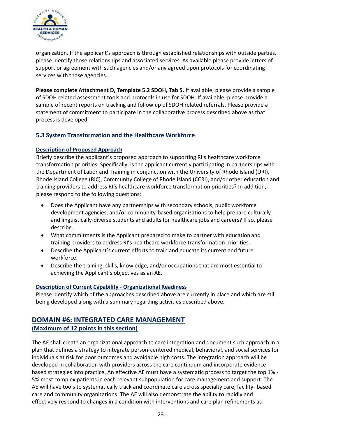

organization. If the applicant's approach is through established relationships with outside parties, please identify those relationships and associated services. As available please provide letters of support or agreement with such agencies and/or any agreed upon protocols for coordinating services with those agencies.

**Please complete Attachment D, Template 5.2 SDOH, Tab 5.** If available, please provide a sample of SDOH related assessment tools and protocols in use for SDOH. If available, please provide a sample of recent reports on tracking and follow up of SDOH related referrals**.** Please provide a statement of commitment to participate in the collaborative process described above as that process is developed.

# <span id="page-23-0"></span>**5.3 System Transformation and the Healthcare Workforce**

#### **Description of Proposed Approach**

Briefly describe the applicant's proposed approach to supporting RI's [healthcare workforce](http://www.eohhs.ri.gov/Portals/0/Uploads/Documents/Workforce/HWT-ExecSumm.pdf)  [transformation](http://www.eohhs.ri.gov/Portals/0/Uploads/Documents/Workforce/HWT-ExecSumm.pdf) [priorities.](http://www.eohhs.ri.gov/Portals/0/Uploads/Documents/Workforce/HWT-ExecSumm.pdf) Specifically, is the applicant currently participating in partnerships with the Department of Labor and Training in conjunction with the University of Rhode Island (URI), Rhode Island College (RIC), Community College of Rhode Island (CCRI), and/or other education and training providers to address RI's healthcare workforce transformation priorities? In addition, please respond to the following questions:

- Does the Applicant have any partnerships with secondary schools, public workforce development agencies, and/or community-based organizations to help prepare culturally and linguistically-diverse students and adults for healthcare jobs and careers? If so, please describe.
- What commitments is the Applicant prepared to make to partner with education and training providers to address RI's healthcare workforce transformation priorities.
- Describe the Applicant's current efforts to train and educate its current and future workforce.
- Describe the training, skills, knowledge, and/or occupations that are most essentialto achieving the Applicant's objectives as an AE.

#### **Description of Current Capability - Organizational Readiness**

Please identify which of the approaches described above are currently in place and which are still being developed along with a summary regarding activities described above**.** 

# <span id="page-23-1"></span>**DOMAIN #6: INTEGRATED CARE MANAGEMENT**

# **(Maximum of 12 points in this section)**

The AE shall create an organizational approach to care integration and document such approach in a plan that defines a strategy to integrate person-centered medical, behavioral, and social services for individuals at risk for poor outcomes and avoidable high costs. The integration approach will be developed in collaboration with providers across the care continuum and incorporate evidencebased strategies into practice. An effective AE must have a systematic process to target the top 1% - 5% most complex patients in each relevant subpopulation for care management and support. The AE will have tools to systematically track and coordinate care across specialty care, facility- based care and community organizations. The AE will also demonstrate the ability to rapidly and effectively respond to changes in a condition with interventions and care plan refinements as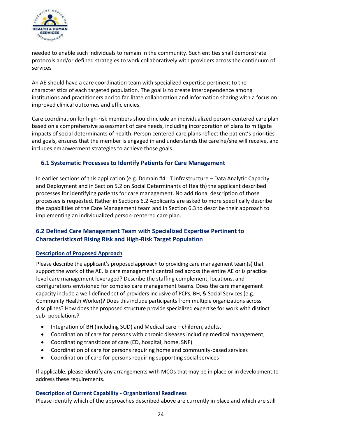

needed to enable such individuals to remain in the community. Such entities shall demonstrate protocols and/or defined strategies to work collaboratively with providers across the continuum of services

An AE should have a care coordination team with specialized expertise pertinent to the characteristics of each targeted population. The goal is to create interdependence among institutions and practitioners and to facilitate collaboration and information sharing with a focus on improved clinical outcomes and efficiencies.

Care coordination for high-risk members should include an individualized person-centered care plan based on a comprehensive assessment of care needs, including incorporation of plans to mitigate impacts of social determinants of health. Person centered care plans reflect the patient's priorities and goals, ensures that the member is engaged in and understands the care he/she will receive, and includes empowerment strategies to achieve those goals.

# <span id="page-24-0"></span>**6.1 Systematic Processes to Identify Patients for Care Management**

In earlier sections of this application (e.g. Domain #4: IT Infrastructure – Data Analytic Capacity and Deployment and in Section 5.2 on Social Determinants of Health) the applicant described processes for identifying patients for care management. No additional description of those processes is requested. Rather in Sections 6.2 Applicants are asked to more specifically describe the capabilities of the Care Management team and in Section 6.3 to describe their approach to implementing an individualized person-centered care plan.

# <span id="page-24-1"></span>**6.2 Defined Care Management Team with Specialized Expertise Pertinent to Characteristicsof Rising Risk and High-Risk Target Population**

# **Description of Proposed Approach**

Please describe the applicant's proposed approach to providing care management team(s) that support the work of the AE. Is care management centralized across the entire AE or is practice level care management leveraged? Describe the staffing complement, locations, and configurations envisioned for complex care management teams. Does the care management capacity include a well-defined set of providers inclusive of PCPs, BH, & Social Services (e.g. Community Health Worker)? Does this include participants from multiple organizations across disciplines? How does the proposed structure provide specialized expertise for work with distinct sub- populations?

- Integration of BH (including SUD) and Medical care children, adults,
- Coordination of care for persons with chronic diseases including medical management,
- Coordinating transitions of care (ED, hospital, home, SNF)
- Coordination of care for persons requiring home and community-based services
- Coordination of care for persons requiring supporting social services

If applicable, please identify any arrangements with MCOs that may be in place or in development to address these requirements.

#### **Description of Current Capability - Organizational Readiness**

Please identify which of the approaches described above are currently in place and which are still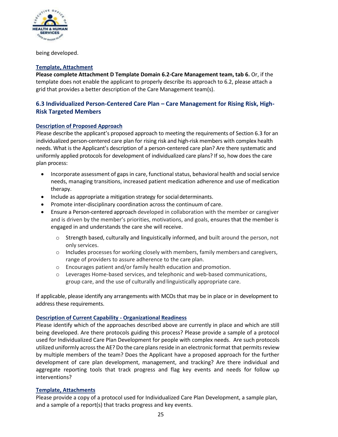

being developed.

#### **Template, Attachment**

**Please complete Attachment D Template Domain 6.2-Care Management team, tab 6.** Or, if the template does not enable the applicant to properly describe its approach to 6.2, please attach a grid that provides a better description of the Care Management team(s).

# <span id="page-25-0"></span>**6.3 Individualized Person-Centered Care Plan – Care Management for Rising Risk, High-Risk Targeted Members**

#### **Description of Proposed Approach**

Please describe the applicant's proposed approach to meeting the requirements of Section 6.3 for an individualized person-centered care plan for rising risk and high-risk members with complex health needs. What is the Applicant's description of a person-centered care plan? Are there systematic and uniformly applied protocols for development of individualized care plans? If so, how does the care plan process:

- Incorporate assessment of gaps in care, functional status, behavioral health and social service needs, managing transitions, increased patient medication adherence and use of medication therapy.
- Include as appropriate a mitigation strategy for social determinants.
- Promote inter-disciplinary coordination across the continuum of care.
- Ensure a Person-centered approach developed in collaboration with the member or caregiver and is driven by the member's priorities, motivations, and goals, ensures that the member is engaged in and understands the care she will receive.
	- o Strength based, culturally and linguistically informed, and built around the person, not only services.
	- o Includes processes for working closely with members, family members and caregivers, range of providers to assure adherence to the care plan.
	- o Encourages patient and/or family health education and promotion.
	- o Leverages Home-based services, and telephonic and web-based communications, group care, and the use of culturally and linguistically appropriate care.

If applicable, please identify any arrangements with MCOs that may be in place or in development to address these requirements.

#### **Description of Current Capability - Organizational Readiness**

Please identify which of the approaches described above are currently in place and which are still being developed. Are there protocols guiding this process? Please provide a sample of a protocol used for Individualized Care Plan Development for people with complex needs. Are such protocols utilized uniformly across the AE? Do the care plans reside in an electronic format that permits review by multiple members of the team? Does the Applicant have a proposed approach for the further development of care plan development, management, and tracking? Are there individual and aggregate reporting tools that track progress and flag key events and needs for follow up interventions?

#### **Template, Attachments**

Please provide a copy of a protocol used for Individualized Care Plan Development, a sample plan, and a sample of a report(s) that tracks progress and key events.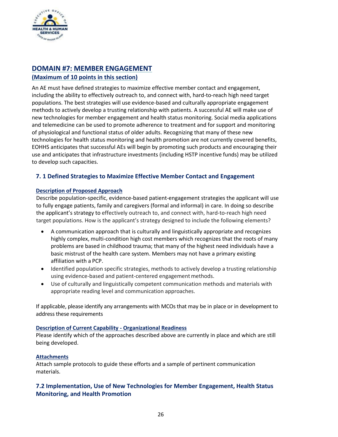

# <span id="page-26-0"></span>**DOMAIN #7: MEMBER ENGAGEMENT (Maximum of 10 points in this section)**

An AE must have defined strategies to maximize effective member contact and engagement, including the ability to effectively outreach to, and connect with, hard-to-reach high need target populations. The best strategies will use evidence-based and culturally appropriate engagement methods to actively develop a trusting relationship with patients. A successful AE will make use of new technologies for member engagement and health status monitoring. Social media applications and telemedicine can be used to promote adherence to treatment and for support and monitoring of physiological and functional status of older adults. Recognizing that many of these new technologies for health status monitoring and health promotion are not currently covered benefits, EOHHS anticipates that successful AEs will begin by promoting such products and encouraging their use and anticipates that infrastructure investments (including HSTP incentive funds) may be utilized to develop such capacities.

# <span id="page-26-1"></span>**7. 1 Defined Strategies to Maximize Effective Member Contact and Engagement**

#### **Description of Proposed Approach**

Describe population-specific, evidence-based patient-engagement strategies the applicant will use to fully engage patients, family and caregivers (formal and informal) in care. In doing so describe the applicant's strategy to effectively outreach to, and connect with, hard-to-reach high need target populations. How is the applicant's strategy designed to include the following elements?

- A communication approach that is culturally and linguistically appropriate and recognizes highly complex, multi-condition high cost members which recognizes that the roots of many problems are based in childhood trauma; that many of the highest need individuals have a basic mistrust of the health care system. Members may not have a primary existing affiliation with a PCP.
- Identified population specific strategies, methods to actively develop a trusting relationship using evidence-based and patient-centered engagement methods.
- Use of culturally and linguistically competent communication methods and materials with appropriate reading level and communication approaches.

If applicable, please identify any arrangements with MCOs that may be in place or in development to address these requirements

#### **Description of Current Capability - Organizational Readiness**

Please identify which of the approaches described above are currently in place and which are still being developed.

# **Attachments**

Attach sample protocols to guide these efforts and a sample of pertinent communication materials.

# <span id="page-26-2"></span>**7.2 Implementation, Use of New Technologies for Member Engagement, Health Status Monitoring, and Health Promotion**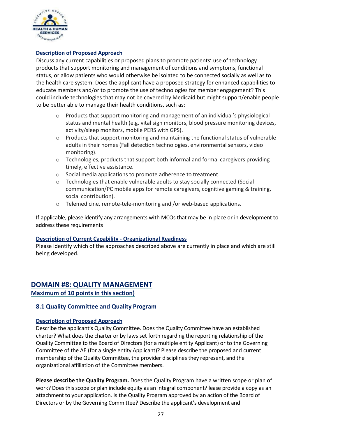

#### **Description of Proposed Approach**

Discuss any current capabilities or proposed plans to promote patients' use of technology products that support monitoring and management of conditions and symptoms, functional status, or allow patients who would otherwise be isolated to be connected socially as well as to the health care system. Does the applicant have a proposed strategy for enhanced capabilities to educate members and/or to promote the use of technologies for member engagement? This could include technologies that may not be covered by Medicaid but might support/enable people to be better able to manage their health conditions, such as:

- o Products that support monitoring and management of an individual's physiological status and mental health (e.g. vital sign monitors, blood pressure monitoring devices, activity/sleep monitors, mobile PERS with GPS).
- $\circ$  Products that support monitoring and maintaining the functional status of vulnerable adults in their homes (Fall detection technologies, environmental sensors, video monitoring).
- $\circ$  Technologies, products that support both informal and formal caregivers providing timely, effective assistance.
- o Social media applications to promote adherence to treatment.
- o Technologies that enable vulnerable adults to stay socially connected (Social communication/PC mobile apps for remote caregivers, cognitive gaming & training, social contribution).
- o Telemedicine, remote-tele-monitoring and /or web-based applications.

If applicable, please identify any arrangements with MCOs that may be in place or in development to address these requirements

#### **Description of Current Capability - Organizational Readiness**

Please identify which of the approaches described above are currently in place and which are still being developed.

# <span id="page-27-0"></span>**DOMAIN #8: QUALITY MANAGEMENT**

**Maximum of 10 points in this section)**

# <span id="page-27-1"></span>**8.1 Quality Committee and Quality Program**

#### **Description of Proposed Approach**

Describe the applicant's Quality Committee. Does the Quality Committee have an established charter? What does the charter or by laws set forth regarding the reporting relationship of the Quality Committee to the Board of Directors (for a multiple entity Applicant) or to the Governing Committee of the AE (for a single entity Applicant)? Please describe the proposed and current membership of the Quality Committee, the provider disciplines they represent, and the organizational affiliation of the Committee members.

**Please describe the Quality Program.** Does the Quality Program have a written scope or plan of work? Does this scope or plan include equity as an integral component? lease provide a copy as an attachment to your application. Is the Quality Program approved by an action of the Board of Directors or by the Governing Committee? Describe the applicant's development and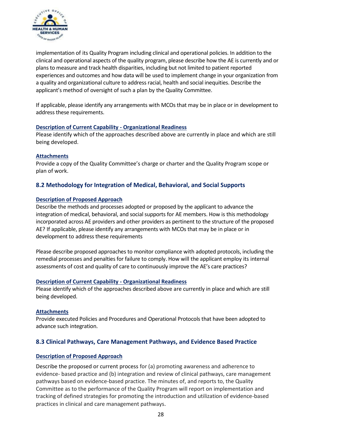

implementation of its Quality Program including clinical and operational policies. In addition to the clinical and operational aspects of the quality program, please describe how the AE is currently and or plans to measure and track health disparities, including but not limited to patient reported experiences and outcomes and how data will be used to implement change in your organization from a quality and organizational culture to address racial, health and social inequities. Describe the applicant's method of oversight of such a plan by the Quality Committee.

If applicable, please identify any arrangements with MCOs that may be in place or in development to address these requirements.

#### **Description of Current Capability - Organizational Readiness**

Please identify which of the approaches described above are currently in place and which are still being developed.

#### **Attachments**

Provide a copy of the Quality Committee's charge or charter and the Quality Program scope or plan of work.

#### <span id="page-28-0"></span>**8.2 Methodology for Integration of Medical, Behavioral, and Social Supports**

#### **Description of Proposed Approach**

Describe the methods and processes adopted or proposed by the applicant to advance the integration of medical, behavioral, and social supports for AE members. How is this methodology incorporated across AE providers and other providers as pertinent to the structure of the proposed AE? If applicable, please identify any arrangements with MCOs that may be in place or in development to address these requirements

Please describe proposed approaches to monitor compliance with adopted protocols, including the remedial processes and penalties for failure to comply. How will the applicant employ its internal assessments of cost and quality of care to continuously improve the AE's care practices?

#### **Description of Current Capability - Organizational Readiness**

Please identify which of the approaches described above are currently in place and which are still being developed.

#### **Attachments**

Provide executed Policies and Procedures and Operational Protocols that have been adopted to advance such integration.

#### <span id="page-28-1"></span>**8.3 Clinical Pathways, Care Management Pathways, and Evidence Based Practice**

#### **Description of Proposed Approach**

Describe the proposed or current process for (a) promoting awareness and adherence to evidence- based practice and (b) integration and review of clinical pathways, care management pathways based on evidence-based practice. The minutes of, and reports to, the Quality Committee as to the performance of the Quality Program will report on implementation and tracking of defined strategies for promoting the introduction and utilization of evidence-based practices in clinical and care management pathways.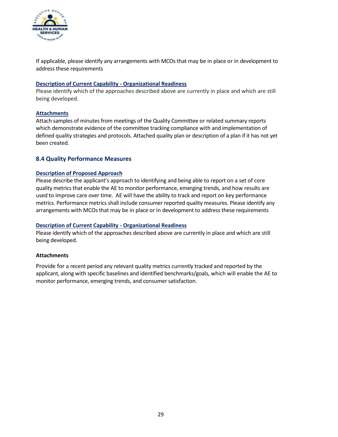

If applicable, please identify any arrangements with MCOs that may be in place or in development to address these requirements

#### **Description of Current Capability - Organizational Readiness**

Please identify which of the approaches described above are currently in place and which are still being developed.

#### **Attachments**

Attach samples of minutes from meetings of the Quality Committee or related summary reports which demonstrate evidence of the committee tracking compliance with and implementation of defined quality strategies and protocols. Attached quality plan or description of a plan if it has not yet been created.

#### <span id="page-29-0"></span>**8.4 Quality Performance Measures**

#### **Description of Proposed Approach**

Please describe the applicant's approach to identifying and being able to report on a set of core quality metrics that enable the AE to monitor performance, emerging trends, and how results are used to improve care over time. AE will have the ability to track and report on key performance metrics. Performance metrics shall include consumer reported quality measures. Please identify any arrangements with MCOs that may be in place or in development to address these requirements

#### **Description of Current Capability - Organizational Readiness**

Please identify which of the approaches described above are currently in place and which are still being developed.

#### **Attachments**

Provide for a recent period any relevant quality metrics currently tracked and reported by the applicant, along with specific baselines and identified benchmarks/goals, which will enable the AE to monitor performance, emerging trends, and consumer satisfaction.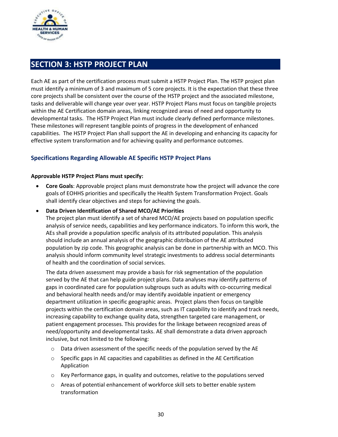

# <span id="page-30-0"></span>**SECTION 3: HSTP PROJECT PLAN**

Each AE as part of the certification process must submit a HSTP Project Plan. The HSTP project plan must identify a minimum of 3 and maximum of 5 core projects. It is the expectation that these three core projects shall be consistent over the course of the HSTP project and the associated milestone, tasks and deliverable will change year over year. HSTP Project Plans must focus on tangible projects within the AE Certification domain areas, linking recognized areas of need and opportunity to developmental tasks**.** The HSTP Project Plan must include clearly defined performance milestones. These milestones will represent tangible points of progress in the development of enhanced capabilities. The HSTP Project Plan shall support the AE in developing and enhancing its capacity for effective system transformation and for achieving quality and performance outcomes.

# **Specifications Regarding Allowable AE Specific HSTP Project Plans**

#### **Approvable HSTP Project Plans must specify:**

- **Core Goals**: Approvable project plans must demonstrate how the project will advance the core goals of EOHHS priorities and specifically the Health System Transformation Project. Goals shall identify clear objectives and steps for achieving the goals.
- **Data Driven Identification of Shared MCO/AE Priorities**

The project plan must identify a set of shared MCO/AE projects based on population specific analysis of service needs, capabilities and key performance indicators. To inform this work, the AEs shall provide a population specific analysis of its attributed population. This analysis should include an annual analysis of the geographic distribution of the AE attributed population by zip code. This geographic analysis can be done in partnership with an MCO. This analysis should inform community level strategic investments to address social determinants of health and the coordination of social services.

The data driven assessment may provide a basis for risk segmentation of the population served by the AE that can help guide project plans. Data analyses may identify patterns of gaps in coordinated care for population subgroups such as adults with co-occurring medical and behavioral health needs and/or may identify avoidable inpatient or emergency department utilization in specific geographic areas. Project plans then focus on tangible projects within the certification domain areas, such as IT capability to identify and track needs, increasing capability to exchange quality data, strengthen targeted care management, or patient engagement processes. This provides for the linkage between recognized areas of need/opportunity and developmental tasks. AE shall demonstrate a data driven approach inclusive, but not limited to the following:

- $\circ$  Data driven assessment of the specific needs of the population served by the AE
- o Specific gaps in AE capacities and capabilities as defined in the AE Certification Application
- $\circ$  Key Performance gaps, in quality and outcomes, relative to the populations served
- o Areas of potential enhancement of workforce skill sets to better enable system transformation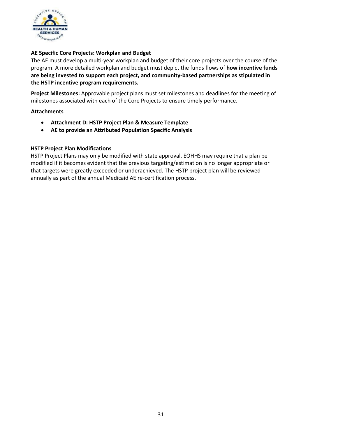

#### **AE Specific Core Projects: Workplan and Budget**

The AE must develop a multi-year workplan and budget of their core projects over the course of the program. A more detailed workplan and budget must depict the funds flows of **how incentive funds are being invested to support each project, and community-based partnerships as stipulated in the HSTP incentive program requirements.** 

**Project Milestones:** Approvable project plans must set milestones and deadlines for the meeting of milestones associated with each of the Core Projects to ensure timely performance.

#### **Attachments**

- **Attachment D: HSTP Project Plan & Measure Template**
- **AE to provide an Attributed Population Specific Analysis**

#### **HSTP Project Plan Modifications**

HSTP Project Plans may only be modified with state approval. EOHHS may require that a plan be modified if it becomes evident that the previous targeting/estimation is no longer appropriate or that targets were greatly exceeded or underachieved. The HSTP project plan will be reviewed annually as part of the annual Medicaid AE re-certification process.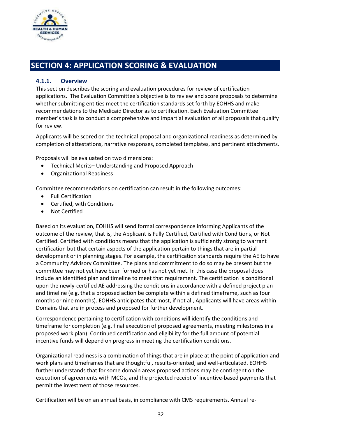

# <span id="page-32-1"></span><span id="page-32-0"></span>**SECTION 4: APPLICATION SCORING & EVALUATION**

# **4.1.1. Overview**

This section describes the scoring and evaluation procedures for review of certification applications. The Evaluation Committee's objective is to review and score proposals to determine whether submitting entities meet the certification standards set forth by EOHHS and make recommendations to the Medicaid Director as to certification. Each Evaluation Committee member's task is to conduct a comprehensive and impartial evaluation of all proposals that qualify for review.

Applicants will be scored on the technical proposal and organizational readiness as determined by completion of attestations, narrative responses, completed templates, and pertinent attachments.

Proposals will be evaluated on two dimensions:

- Technical Merits– Understanding and Proposed Approach
- Organizational Readiness

Committee recommendations on certification can result in the following outcomes:

- Full Certification
- Certified, with Conditions
- Not Certified

Based on its evaluation, EOHHS will send formal correspondence informing Applicants of the outcome of the review, that is, the Applicant is Fully Certified, Certified with Conditions, or Not Certified. Certified with conditions means that the application is sufficiently strong to warrant certification but that certain aspects of the application pertain to things that are in partial development or in planning stages. For example, the certification standards require the AE to have a Community Advisory Committee. The plans and commitment to do so may be present but the committee may not yet have been formed or has not yet met. In this case the proposal does include an identified plan and timeline to meet that requirement. The certification is conditional upon the newly-certified AE addressing the conditions in accordance with a defined project plan and timeline (e.g. that a proposed action be complete within a defined timeframe, such as four months or nine months). EOHHS anticipates that most, if not all, Applicants will have areas within Domains that are in process and proposed for further development.

Correspondence pertaining to certification with conditions will identify the conditions and timeframe for completion (e.g. final execution of proposed agreements, meeting milestones in a proposed work plan). Continued certification and eligibility for the full amount of potential incentive funds will depend on progress in meeting the certification conditions.

Organizational readiness is a combination of things that are in place at the point of application and work plans and timeframes that are thoughtful, results-oriented, and well-articulated. EOHHS further understands that for some domain areas proposed actions may be contingent on the execution of agreements with MCOs, and the projected receipt of incentive-based payments that permit the investment of those resources.

Certification will be on an annual basis, in compliance with CMS requirements. Annual re-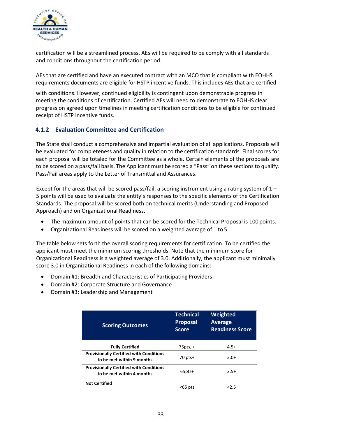

certification will be a streamlined process. AEs will be required to be comply with all standards and conditions throughout the certification period.

AEs that are certified and have an executed contract with an MCO that is compliant with EOHHS requirements documents are eligible for HSTP incentive funds. This includes AEs that are certified

with conditions. However, continued eligibility is contingent upon demonstrable progress in meeting the conditions of certification. Certified AEs will need to demonstrate to EOHHS clear progress on agreed upon timelines in meeting certification conditions to be eligible for continued receipt of HSTP incentive funds.

# <span id="page-33-0"></span>**4.1.2 Evaluation Committee and Certification**

The State shall conduct a comprehensive and impartial evaluation of all applications. Proposals will be evaluated for completeness and quality in relation to the certification standards. Final scores for each proposal will be totaled for the Committee as a whole. Certain elements of the proposals are to be scored on a pass/fail basis. The Applicant must be scored a "Pass" on these sections to qualify. Pass/Fail areas apply to the Letter of Transmittal and Assurances.

Except for the areas that will be scored pass/fail, a scoring instrument using a rating system of  $1 -$ 5 points will be used to evaluate the entity's responses to the specific elements of the Certification Standards. The proposal will be scored both on technical merits (Understanding and Proposed Approach) and on Organizational Readiness.

- The maximum amount of points that can be scored for the Technical Proposal is 100 points.
- Organizational Readiness will be scored on a weighted average of 1 to 5.

The table below sets forth the overall scoring requirements for certification. To be certified the applicant must meet the minimum scoring thresholds. Note that the minimum score for Organizational Readiness is a weighted average of 3.0. Additionally, the applicant must minimally score 3.0 in Organizational Readiness in each of the following domains:

- Domain #1: Breadth and Characteristics of Participating Providers
- Domain #2: Corporate Structure and Governance
- Domain #3: Leadership and Management

| <b>Scoring Outcomes</b>                                                     | <b>Technical</b><br><b>Proposal</b><br><b>Score</b> | Weighted<br><b>Average</b><br><b>Readiness Score</b> |
|-----------------------------------------------------------------------------|-----------------------------------------------------|------------------------------------------------------|
| <b>Fully Certified</b>                                                      | $75$ pts, +                                         | $4.5+$                                               |
| <b>Provisionally Certified with Conditions</b><br>to be met within 9 months | $70$ pts+                                           | $3.0+$                                               |
| <b>Provisionally Certified with Conditions</b><br>to be met within 4 months | $65$ pts+                                           | $2.5+$                                               |
| <b>Not Certified</b>                                                        | $65$ pts                                            | 2.5                                                  |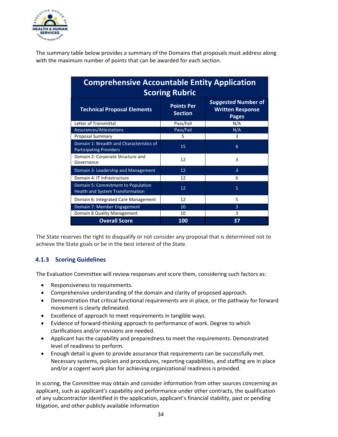

The summary table below provides a summary of the Domains that proposals must address along with the maximum number of points that can be awarded for each section.

| <b>Comprehensive Accountable Entity Application</b><br><b>Scoring Rubric</b> |                                     |                                                                |  |
|------------------------------------------------------------------------------|-------------------------------------|----------------------------------------------------------------|--|
| <b>Technical Proposal Elements</b>                                           | <b>Points Per</b><br><b>Section</b> | <b>Suggested Number of</b><br><b>Written Response</b><br>Pages |  |
| Letter of Transmittal                                                        | Pass/Fail                           | N/A                                                            |  |
| Assurances/Attestations                                                      | Pass/Fail                           | N/A                                                            |  |
| <b>Proposal Summary</b>                                                      | 5                                   | 3                                                              |  |
| Domain 1: Breadth and Characteristics of<br><b>Participating Providers</b>   | 15                                  | 6                                                              |  |
| Domain 2: Corporate Structure and<br>Governance                              | 12                                  | 3                                                              |  |
| Domain 3: Leadership and Management                                          | 12                                  | $\overline{3}$                                                 |  |
| Domain 4: IT Infrastructure                                                  | 12                                  | 6                                                              |  |
| Domain 5: Commitment to Population<br>Health and System Transformation       | 12                                  | 5                                                              |  |
| Domain 6: Integrated Care Management                                         | 12                                  | 5                                                              |  |
| Domain 7: Member Engagement                                                  | 10                                  | $\overline{3}$                                                 |  |
| Domain 8 Quality Management                                                  | 10                                  | 3                                                              |  |
| <b>Overall Score</b>                                                         | 100                                 | 37                                                             |  |

The State reserves the right to disqualify or not consider any proposal that is determined not to achieve the State goals or be in the best interest of the State.

# <span id="page-34-0"></span>**4.1.3 Scoring Guidelines**

The Evaluation Committee will review responses and score them, considering such factors as:

- Responsiveness to requirements.
- Comprehensive understanding of the domain and clarity of proposed approach.
- Demonstration that critical functional requirements are in place, or the pathway for forward movement is clearly delineated.
- Excellence of approach to meet requirements in tangible ways.
- Evidence of forward-thinking approach to performance of work. Degree to which clarifications and/or revisions are needed.
- Applicant has the capability and preparedness to meet the requirements. Demonstrated level of readiness to perform.
- Enough detail is given to provide assurance that requirements can be successfully met. Necessary systems, policies and procedures, reporting capabilities, and staffing are in place and/or a cogent work plan for achieving organizational readiness is provided.

In scoring, the Committee may obtain and consider information from other sources concerning an applicant, such as applicant's capability and performance under other contracts, the qualification of any subcontractor identified in the application, applicant's financial stability, past or pending litigation, and other publicly available information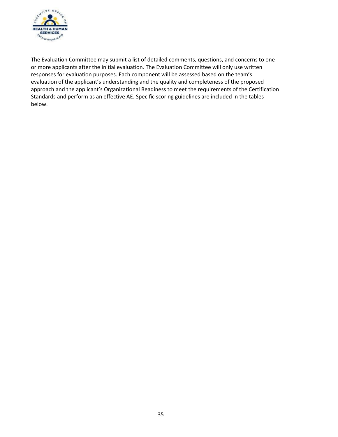

The Evaluation Committee may submit a list of detailed comments, questions, and concerns to one or more applicants after the initial evaluation. The Evaluation Committee will only use written responses for evaluation purposes. Each component will be assessed based on the team's evaluation of the applicant's understanding and the quality and completeness of the proposed approach and the applicant's Organizational Readiness to meet the requirements of the Certification Standards and perform as an effective AE. Specific scoring guidelines are included in the tables below.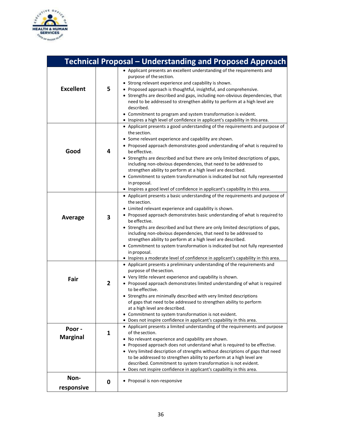

| <b>Technical Proposal – Understanding and Proposed Approach</b> |                         |                                                                                                                                                                                                                                                                                                                                                                                                                                                                                                                                                                                                                                                                    |
|-----------------------------------------------------------------|-------------------------|--------------------------------------------------------------------------------------------------------------------------------------------------------------------------------------------------------------------------------------------------------------------------------------------------------------------------------------------------------------------------------------------------------------------------------------------------------------------------------------------------------------------------------------------------------------------------------------------------------------------------------------------------------------------|
| <b>Excellent</b>                                                | 5                       | • Applicant presents an excellent understanding of the requirements and<br>purpose of the section.<br>• Strong relevant experience and capability is shown.<br>• Proposed approach is thoughtful, insightful, and comprehensive.<br>• Strengths are described and gaps, including non-obvious dependencies, that<br>need to be addressed to strengthen ability to perform at a high level are<br>described.<br>• Commitment to program and system transformation is evident.<br>• Inspires a high level of confidence in applicant's capability in this area.                                                                                                      |
| Good                                                            | 4                       | • Applicant presents a good understanding of the requirements and purpose of<br>the section.<br>• Some relevant experience and capability are shown.<br>• Proposed approach demonstrates good understanding of what is required to<br>be effective.<br>• Strengths are described and but there are only limited descriptions of gaps,<br>including non-obvious dependencies, that need to be addressed to<br>strengthen ability to perform at a high level are described.<br>• Commitment to system transformation is indicated but not fully represented<br>in proposal.<br>• Inspires a good level of confidence in applicant's capability in this area.         |
| Average                                                         | $\overline{\mathbf{3}}$ | • Applicant presents a basic understanding of the requirements and purpose of<br>the section.<br>• Limited relevant experience and capability is shown.<br>• Proposed approach demonstrates basic understanding of what is required to<br>be effective.<br>• Strengths are described and but there are only limited descriptions of gaps,<br>including non-obvious dependencies, that need to be addressed to<br>strengthen ability to perform at a high level are described.<br>• Commitment to system transformation is indicated but not fully represented<br>in proposal.<br>• Inspires a moderate level of confidence in applicant's capability in this area. |
| Fair                                                            | $\overline{2}$          | • Applicant presents a preliminary understanding of the requirements and<br>purpose of the section.<br>• Very little relevant experience and capability is shown.<br>• Proposed approach demonstrates limited understanding of what is required<br>to be effective.<br>• Strengths are minimally described with very limited descriptions<br>of gaps that need to be addressed to strengthen ability to perform<br>at a high level are described.<br>• Commitment to system transformation is not evident.<br>• Does not inspire confidence in applicant's capability in this area.                                                                                |
| Poor -<br><b>Marginal</b>                                       | $\mathbf{1}$            | • Applicant presents a limited understanding of the requirements and purpose<br>of the section.<br>• No relevant experience and capability are shown.<br>• Proposed approach does not understand what is required to be effective.<br>• Very limited description of strengths without descriptions of gaps that need<br>to be addressed to strengthen ability to perform at a high level are<br>described. Commitment to system transformation is not evident.<br>• Does not inspire confidence in applicant's capability in this area.                                                                                                                            |
| Non-<br>responsive                                              | 0                       | • Proposal is non-responsive                                                                                                                                                                                                                                                                                                                                                                                                                                                                                                                                                                                                                                       |